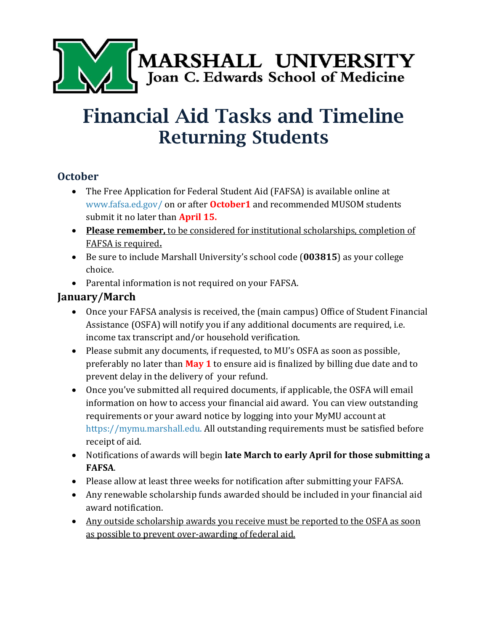

# Financial Aid Tasks and Timeline Returning Students

#### **October**

- The Free Application for Federal Student Aid (FAFSA) is available online at [www.fafsa.ed.gov/](http://www.fafsa.ed.gov/) on or after **October1** and recommended MUSOM students submit it no later than **April 15.**
- **Please remember,** to be considered for institutional scholarships, completion of FAFSA is required**.**
- Be sure to include Marshall University's school code (**003815**) as your college choice.
- Parental information is not required on your FAFSA.

### **January/March**

- Once your FAFSA analysis is received, the (main campus) Office of Student Financial Assistance (OSFA) will notify you if any additional documents are required, i.e. income tax transcript and/or household verification.
- Please submit any documents, if requested, to MU's OSFA as soon as possible, preferably no later than **May 1** to ensure aid is finalized by billing due date and to prevent delay in the delivery of your refund.
- Once you've submitted all required documents, if applicable, the OSFA will email information on how to access your financial aid award. You can view outstanding requirements or your award notice by logging into your MyMU account at [https://mymu.marshall.edu.](https://mymu.marshall.edu/) All outstanding requirements must be satisfied before receipt of aid.
- Notifications of awards will begin **late March to early April for those submitting a FAFSA**.
- Please allow at least three weeks for notification after submitting your FAFSA.
- Any renewable scholarship funds awarded should be included in your financial aid award notification.
- Any outside scholarship awards you receive must be reported to the OSFA as soon as possible to prevent over-awarding of federal aid.